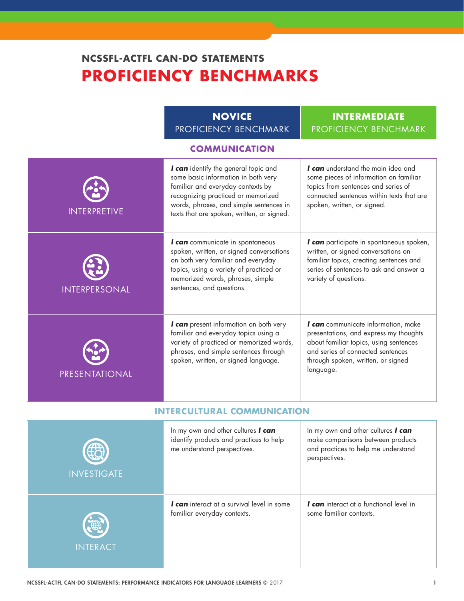# **NCSSFL-ACTFL CAN-DO STATEMENTS PROFICIENCY BENCHMARKS**

|                     | <b>NOVICE</b><br>PROFICIENCY BENCHMARK                                                                                                                                                                                                          | <b>INTERMEDIATE</b><br>PROFICIENCY BENCHMARK                                                                                                                                                                    |
|---------------------|-------------------------------------------------------------------------------------------------------------------------------------------------------------------------------------------------------------------------------------------------|-----------------------------------------------------------------------------------------------------------------------------------------------------------------------------------------------------------------|
|                     | <b>COMMUNICATION</b>                                                                                                                                                                                                                            |                                                                                                                                                                                                                 |
| <b>INTERPRETIVE</b> | I can identify the general topic and<br>some basic information in both very<br>familiar and everyday contexts by<br>recognizing practiced or memorized<br>words, phrases, and simple sentences in<br>texts that are spoken, written, or signed. | I can understand the main idea and<br>some pieces of information on familiar<br>topics from sentences and series of<br>connected sentences within texts that are<br>spoken, written, or signed.                 |
| INTERPERSONAL       | I can communicate in spontaneous<br>spoken, written, or signed conversations<br>on both very familiar and everyday<br>topics, using a variety of practiced or<br>memorized words, phrases, simple<br>sentences, and questions.                  | I can participate in spontaneous spoken,<br>written, or signed conversations on<br>familiar topics, creating sentences and<br>series of sentences to ask and answer a<br>variety of questions.                  |
| PRESENTATIONAL      | I can present information on both very<br>familiar and everyday topics using a<br>variety of practiced or memorized words,<br>phrases, and simple sentences through<br>spoken, written, or signed language.                                     | I can communicate information, make<br>presentations, and express my thoughts<br>about familiar topics, using sentences<br>and series of connected sentences<br>through spoken, written, or signed<br>language. |
|                     | <b>INTERCULTURAL COMMUNICATION</b>                                                                                                                                                                                                              |                                                                                                                                                                                                                 |
| E                   | In my own and other cultures I can<br>identify products and practices to help<br>me understand perspectives.                                                                                                                                    | In my own and other cultures I can<br>make comparisons between products<br>and practices to help me understand                                                                                                  |

| $\bigoplus$<br><b>INVESTIGATE</b> | $\cdots$ $\cdots$ $\cdots$ $\cdots$ $\cdots$ $\cdots$ $\cdots$ $\cdots$ $\cdots$ $\cdots$ $\cdots$ $\cdots$ $\cdots$<br>identify products and practices to help<br>me understand perspectives. | $\cdots$ $\cdots$ $\cdots$ $\cdots$ $\cdots$ $\cdots$ $\cdots$ $\cdots$ $\cdots$ $\cdots$ $\cdots$ $\cdots$<br>make comparisons between products<br>and practices to help me understand<br>perspectives. |
|-----------------------------------|------------------------------------------------------------------------------------------------------------------------------------------------------------------------------------------------|----------------------------------------------------------------------------------------------------------------------------------------------------------------------------------------------------------|
| O                                 | I can interact at a survival level in some                                                                                                                                                     | I can interact at a functional level in                                                                                                                                                                  |
| <b>INTERACT</b>                   | familiar everyday contexts.                                                                                                                                                                    | some familiar contexts.                                                                                                                                                                                  |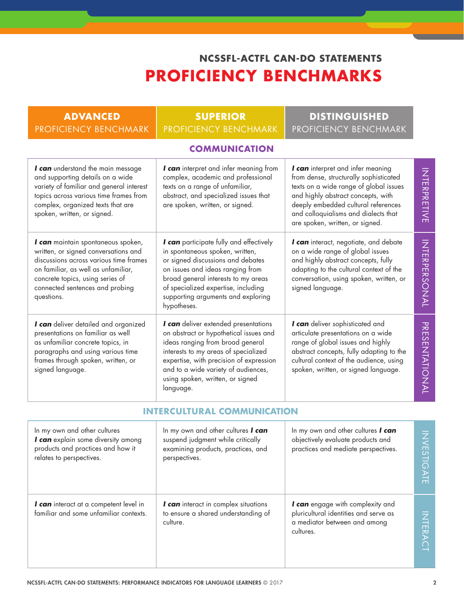# **NCSSFL-ACTFL CAN-DO STATEMENTS PROFICIENCY BENCHMARKS**

| <b>ADVANCED</b>                                                                                                                                                                                                                                  | <b>SUPERIOR</b>                                                                                                                                                                                                                                                                               | <b>DISTINGUISHED</b>                                                                                                                                                                                                                                                          |                             |
|--------------------------------------------------------------------------------------------------------------------------------------------------------------------------------------------------------------------------------------------------|-----------------------------------------------------------------------------------------------------------------------------------------------------------------------------------------------------------------------------------------------------------------------------------------------|-------------------------------------------------------------------------------------------------------------------------------------------------------------------------------------------------------------------------------------------------------------------------------|-----------------------------|
| <b>PROFICIENCY BENCHMARK</b>                                                                                                                                                                                                                     | <b>PROFICIENCY BENCHMARK</b>                                                                                                                                                                                                                                                                  | PROFICIENCY BENCHMARK                                                                                                                                                                                                                                                         |                             |
|                                                                                                                                                                                                                                                  | <b>COMMUNICATION</b>                                                                                                                                                                                                                                                                          |                                                                                                                                                                                                                                                                               |                             |
| I can understand the main message<br>and supporting details on a wide<br>variety of familiar and general interest<br>topics across various time frames from<br>complex, organized texts that are<br>spoken, written, or signed.                  | I can interpret and infer meaning from<br>complex, academic and professional<br>texts on a range of unfamiliar,<br>abstract, and specialized issues that<br>are spoken, written, or signed.                                                                                                   | I can interpret and infer meaning<br>from dense, structurally sophisticated<br>texts on a wide range of global issues<br>and highly abstract concepts, with<br>deeply embedded cultural references<br>and colloquialisms and dialects that<br>are spoken, written, or signed. | INTERPRETIVE                |
| I can maintain spontaneous spoken,<br>written, or signed conversations and<br>discussions across various time frames<br>on familiar, as well as unfamiliar,<br>concrete topics, using series of<br>connected sentences and probing<br>questions. | I can participate fully and effectively<br>in spontaneous spoken, written,<br>or signed discussions and debates<br>on issues and ideas ranging from<br>broad general interests to my areas<br>of specialized expertise, including<br>supporting arguments and exploring<br>hypotheses.        | I can interact, negotiate, and debate<br>on a wide range of global issues<br>and highly abstract concepts, fully<br>adapting to the cultural context of the<br>conversation, using spoken, written, or<br>signed language.                                                    | <b>INTERPERSONAL</b>        |
| I can deliver detailed and organized<br>presentations on familiar as well<br>as unfamiliar concrete topics, in<br>paragraphs and using various time<br>frames through spoken, written, or<br>signed language.                                    | I can deliver extended presentations<br>on abstract or hypothetical issues and<br>ideas ranging from broad general<br>interests to my areas of specialized<br>expertise, with precision of expression<br>and to a wide variety of audiences,<br>using spoken, written, or signed<br>language. | I can deliver sophisticated and<br>articulate presentations on a wide<br>range of global issues and highly<br>abstract concepts, fully adapting to the<br>cultural context of the audience, using<br>spoken, written, or signed language.                                     | PRESENTATIONAL              |
|                                                                                                                                                                                                                                                  | <b>INTERCULTURAL COMMUNICATION</b>                                                                                                                                                                                                                                                            |                                                                                                                                                                                                                                                                               |                             |
| In my own and other cultures<br>I can explain some diversity among<br>products and practices and how it<br>relates to perspectives.                                                                                                              | In my own and other cultures I can<br>suspend judgment while critically<br>examining products, practices, and<br>perspectives.                                                                                                                                                                | In my own and other cultures I can<br>objectively evaluate products and<br>practices and mediate perspectives.                                                                                                                                                                | <b>NS</b><br><b>STIGATE</b> |
| I can interact at a competent level in<br>familiar and some unfamiliar contexts.                                                                                                                                                                 | I can interact in complex situations<br>to ensure a shared understanding of<br>culture.                                                                                                                                                                                                       | I can engage with complexity and<br>pluricultural identities and serve as<br>a mediator between and among<br>cultures.                                                                                                                                                        | <b>NTERACT</b>              |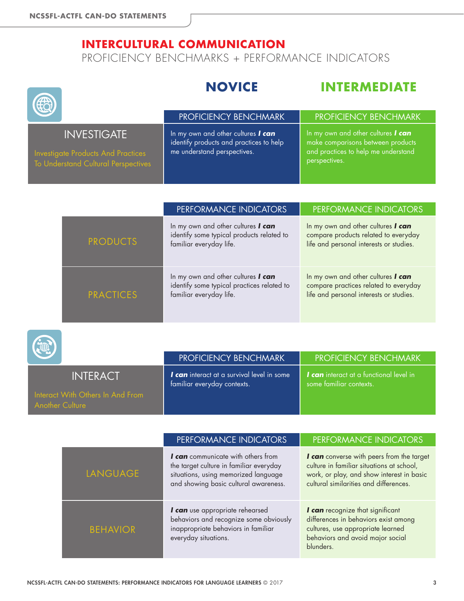**Capacity** 

# **INTERCULTURAL COMMUNICATION**

PROFICIENCY BENCHMARKS + PERFORMANCE INDICATORS

#### **NOVICE INTERMEDIATE** PROFICIENCY BENCHMARK | PROFICIENCY BENCHMARK **INVESTIGATE** In my own and other cultures *I can* identify products and practices to help me understand perspectives. In my own and other cultures *I can* make comparisons between products and practices to help me understand perspectives.

|                  | PERFORMANCE INDICATORS                                                                                      | PERFORMANCE INDICATORS                                                                                                 |
|------------------|-------------------------------------------------------------------------------------------------------------|------------------------------------------------------------------------------------------------------------------------|
| <b>PRODUCTS</b>  | In my own and other cultures I can<br>identify some typical products related to<br>familiar everyday life.  | In my own and other cultures I can<br>compare products related to everyday<br>life and personal interests or studies.  |
| <b>PRACTICES</b> | In my own and other cultures I can<br>identify some typical practices related to<br>familiar everyday life. | In my own and other cultures I can<br>compare practices related to everyday<br>life and personal interests or studies. |

| <b>All of the Second Street</b>                            | <b>PROFICIENCY BENCHMARK</b>                                                     | <b>PROFICIENCY BENCHMARK</b>                                              |
|------------------------------------------------------------|----------------------------------------------------------------------------------|---------------------------------------------------------------------------|
| <b>INTERACT</b>                                            | <b>I can</b> interact at a survival level in some<br>familiar everyday contexts. | <b>I can</b> interact at a functional level in<br>some familiar contexts. |
| Interact With Others In And From<br><b>Another Culture</b> |                                                                                  |                                                                           |

|                 | PERFORMANCE INDICATORS                                                                                                                                                | PERFORMANCE INDICATORS                                                                                                                                                        |
|-----------------|-----------------------------------------------------------------------------------------------------------------------------------------------------------------------|-------------------------------------------------------------------------------------------------------------------------------------------------------------------------------|
| <b>LANGUAGE</b> | <b>I can</b> communicate with others from<br>the target culture in familiar everyday<br>situations, using memorized language<br>and showing basic cultural awareness. | I can converse with peers from the target<br>culture in familiar situations at school,<br>work, or play, and show interest in basic<br>cultural similarities and differences. |
| <b>BEHAVIOR</b> | I can use appropriate rehearsed<br>behaviors and recognize some obviously<br>inappropriate behaviors in familiar<br>everyday situations.                              | I can recognize that significant<br>differences in behaviors exist among<br>cultures, use appropriate learned<br>behaviors and avoid major social<br>blunders.                |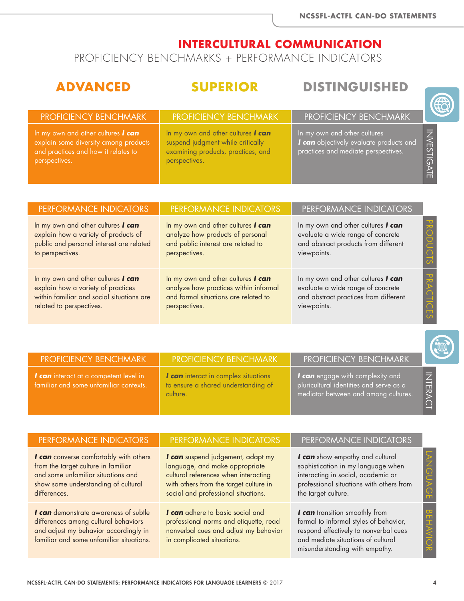PROFICIENCY BENCHMARKS + PERFORMANCE INDICATORS

## **ADVANCED SUPERIOR DISTINGUISHED**

| <b>PROFICIENCY BENCHMARK</b>                                                                                                               | <b>PROFICIENCY BENCHMARK</b>                                                                                                   | <b>PROFICIENCY BENCHMARK</b>                                                                                   |                   |
|--------------------------------------------------------------------------------------------------------------------------------------------|--------------------------------------------------------------------------------------------------------------------------------|----------------------------------------------------------------------------------------------------------------|-------------------|
| In my own and other cultures <b>I can</b><br>explain some diversity among products<br>and practices and how it relates to<br>perspectives. | In my own and other cultures I can<br>suspend judgment while critically<br>examining products, practices, and<br>perspectives. | In my own and other cultures<br>I can objectively evaluate products and<br>practices and mediate perspectives. | <b>NVESTIGATE</b> |
|                                                                                                                                            |                                                                                                                                |                                                                                                                |                   |

| PERFORMANCE INDICATORS                    | PERFORMANCE INDICATORS                | PERFORMANCE INDICATORS                |
|-------------------------------------------|---------------------------------------|---------------------------------------|
| In my own and other cultures I can        | In my own and other cultures I can    | In my own and other cultures I can    |
| explain how a variety of products of      | analyze how products of personal      | evaluate a wide range of concrete     |
| public and personal interest are related  | and public interest are related to    | and abstract products from different  |
| to perspectives.                          | perspectives.                         | viewpoints.                           |
| In my own and other cultures I can        | In my own and other cultures I can    | In my own and other cultures I can    |
| explain how a variety of practices        | analyze how practices within informal | evaluate a wide range of concrete     |
| within familiar and social situations are | and formal situations are related to  | and abstract practices from different |
| related to perspectives.                  | perspectives.                         | viewpoints.                           |

| <b>PROFICIENCY BENCHMARK</b>                                                     | <b>PROFICIENCY BENCHMARK</b>                                                            | <b>PROFICIENCY BENCHMARK</b>                                                                                               |              |
|----------------------------------------------------------------------------------|-----------------------------------------------------------------------------------------|----------------------------------------------------------------------------------------------------------------------------|--------------|
| I can interact at a competent level in<br>familiar and some unfamiliar contexts. | I can interact in complex situations<br>to ensure a shared understanding of<br>culture. | <b>I can</b> engage with complexity and<br>pluricultural identities and serve as a<br>mediator between and among cultures. | <b>INTER</b> |

| PERFORMANCE INDICATORS                                                                                                                                                     | PERFORMANCE INDICATORS                                                                                                                                                                       | PERFORMANCE INDICATORS                                                                                                                                                                    |  |
|----------------------------------------------------------------------------------------------------------------------------------------------------------------------------|----------------------------------------------------------------------------------------------------------------------------------------------------------------------------------------------|-------------------------------------------------------------------------------------------------------------------------------------------------------------------------------------------|--|
| I can converse comfortably with others<br>from the target culture in familiar<br>and some unfamiliar situations and<br>show some understanding of cultural<br>differences. | I can suspend judgement, adapt my<br>language, and make appropriate<br>cultural references when interacting<br>with others from the target culture in<br>social and professional situations. | I can show empathy and cultural<br>sophistication in my language when<br>interacting in social, academic or<br>professional situations with others from<br>the target culture.            |  |
| I can demonstrate awareness of subtle<br>differences among cultural behaviors<br>and adjust my behavior accordingly in<br>familiar and some unfamiliar situations.         | I can adhere to basic social and<br>professional norms and etiquette, read<br>nonverbal cues and adjust my behavior<br>in complicated situations.                                            | I can transition smoothly from<br>formal to informal styles of behavior,<br>respond effectively to nonverbal cues<br>and mediate situations of cultural<br>misunderstanding with empathy. |  |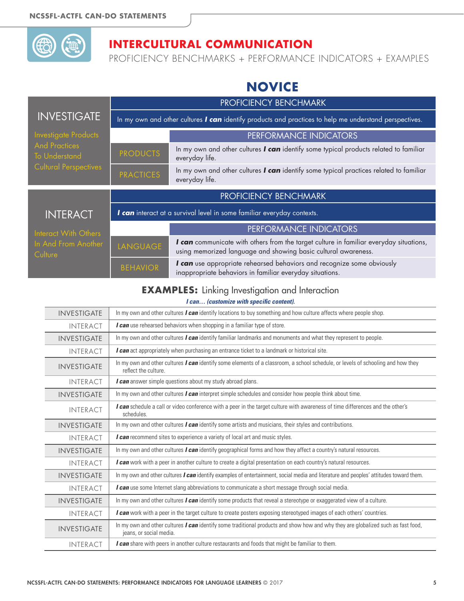

PROFICIENCY BENCHMARKS + PERFORMANCE INDICATORS + EXAMPLES

# **NOVICE**

|                                              | PROFICIENCY BENCHMARK                                                                                  |                                                                                                                                                          |  |
|----------------------------------------------|--------------------------------------------------------------------------------------------------------|----------------------------------------------------------------------------------------------------------------------------------------------------------|--|
| <b>INVESTIGATE</b>                           | In my own and other cultures I can identify products and practices to help me understand perspectives. |                                                                                                                                                          |  |
| <b>Investigate Products</b>                  |                                                                                                        | PERFORMANCE INDICATORS                                                                                                                                   |  |
| <b>And Practices</b><br><b>To Understand</b> | <b>PRODUCTS</b>                                                                                        | In my own and other cultures I can identify some typical products related to familiar<br>everyday life.                                                  |  |
| <b>Cultural Perspectives</b>                 | <b>PRACTICES</b>                                                                                       | In my own and other cultures I can identify some typical practices related to familiar<br>everyday life.                                                 |  |
|                                              | PROFICIENCY BENCHMARK                                                                                  |                                                                                                                                                          |  |
| <b>INTERACT</b>                              | I can interact at a survival level in some familiar everyday contexts.                                 |                                                                                                                                                          |  |
| Interact With Others                         |                                                                                                        | PERFORMANCE INDICATORS                                                                                                                                   |  |
| In And From Another<br>Culture               | LANGUAGE                                                                                               | I can communicate with others from the target culture in familiar everyday situations,<br>using memorized language and showing basic cultural awareness. |  |
|                                              | <b>BEHAVIOR</b>                                                                                        | I can use appropriate rehearsed behaviors and recognize some obviously<br>inappropriate behaviors in familiar everyday situations.                       |  |

#### **EXAMPLES:** Linking Investigation and Interaction

| <b>INVESTIGATE</b> | In my own and other cultures $\bm{l}$ can identify locations to buy something and how culture affects where people shop.                                            |
|--------------------|---------------------------------------------------------------------------------------------------------------------------------------------------------------------|
| <b>INTERACT</b>    | I can use rehearsed behaviors when shopping in a familiar type of store.                                                                                            |
| <b>INVESTIGATE</b> | In my own and other cultures <i>I can</i> identify familiar landmarks and monuments and what they represent to people.                                              |
| <b>INTERACT</b>    | I can act appropriately when purchasing an entrance ticket to a landmark or historical site.                                                                        |
| <b>INVESTIGATE</b> | In my own and other cultures <i>I can</i> identify some elements of a classroom, a school schedule, or levels of schooling and how they<br>reflect the culture.     |
| <b>INTERACT</b>    | <b>I can</b> answer simple questions about my study abroad plans.                                                                                                   |
| <b>INVESTIGATE</b> | In my own and other cultures $\bm{l}$ can interpret simple schedules and consider how people think about time.                                                      |
| <b>INTERACT</b>    | I can schedule a call or video conference with a peer in the target culture with awareness of time differences and the other's<br>schedules.                        |
| <b>INVESTIGATE</b> | In my own and other cultures <i>I can</i> identify some artists and musicians, their styles and contributions.                                                      |
| <b>INTERACT</b>    | I can recommend sites to experience a variety of local art and music styles.                                                                                        |
| <b>INVESTIGATE</b> | In my own and other cultures <i>I can</i> identify geographical forms and how they affect a country's natural resources.                                            |
| <b>INTERACT</b>    | I can work with a peer in another culture to create a digital presentation on each country's natural resources.                                                     |
| <b>INVESTIGATE</b> | In my own and other cultures <i>I can</i> identify examples of entertainment, social media and literature and peoples' attitudes toward them.                       |
| <b>INTERACT</b>    | I can use some Internet slang abbreviations to communicate a short message through social media.                                                                    |
| <b>INVESTIGATE</b> | In my own and other cultures <i>I can</i> identify some products that reveal a stereotype or exaggerated view of a culture.                                         |
| <b>INTERACT</b>    | I can work with a peer in the target culture to create posters exposing stereotyped images of each others' countries.                                               |
| <b>INVESTIGATE</b> | In my own and other cultures <i>I can</i> identify some traditional products and show how and why they are globalized such as fast food,<br>jeans, or social media. |
| <b>INTERACT</b>    | <b>I can</b> share with peers in another culture restaurants and foods that might be familiar to them.                                                              |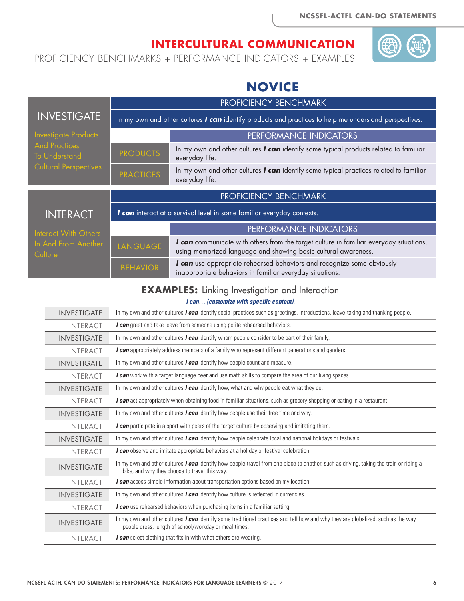PROFICIENCY BENCHMARKS + PERFORMANCE INDICATORS + EXAMPLES

# **NOVICE**

|                                                        | PROFICIENCY BENCHMARK                                                                                  |                                                                                                                                                          |  |
|--------------------------------------------------------|--------------------------------------------------------------------------------------------------------|----------------------------------------------------------------------------------------------------------------------------------------------------------|--|
| <b>INVESTIGATE</b>                                     | In my own and other cultures I can identify products and practices to help me understand perspectives. |                                                                                                                                                          |  |
| <b>Investigate Products</b>                            |                                                                                                        | PERFORMANCE INDICATORS                                                                                                                                   |  |
| <b>And Practices</b><br><b>To Understand</b>           | <b>PRODUCTS</b>                                                                                        | In my own and other cultures I can identify some typical products related to familiar<br>everyday life.                                                  |  |
| <b>Cultural Perspectives</b>                           | <b>PRACTICES</b>                                                                                       | In my own and other cultures I can identify some typical practices related to familiar<br>everyday life.                                                 |  |
|                                                        |                                                                                                        |                                                                                                                                                          |  |
|                                                        |                                                                                                        | PROFICIENCY BENCHMARK                                                                                                                                    |  |
| <b>INTERACT</b>                                        |                                                                                                        | I can interact at a survival level in some familiar everyday contexts.                                                                                   |  |
|                                                        |                                                                                                        | <b>PERFORMANCE INDICATORS</b>                                                                                                                            |  |
| Interact With Others<br>In And From Another<br>Culture | LANGUAGE                                                                                               | I can communicate with others from the target culture in familiar everyday situations,<br>using memorized language and showing basic cultural awareness. |  |

#### **EXAMPLES:** Linking Investigation and Interaction

| <b>INVESTIGATE</b> | In my own and other cultures <i>I can</i> identify social practices such as greetings, introductions, leave-taking and thanking people.                                                          |
|--------------------|--------------------------------------------------------------------------------------------------------------------------------------------------------------------------------------------------|
| <b>INTERACT</b>    | I can greet and take leave from someone using polite rehearsed behaviors.                                                                                                                        |
| <b>INVESTIGATE</b> | In my own and other cultures $\boldsymbol{l}$ can identify whom people consider to be part of their family.                                                                                      |
| <b>INTERACT</b>    | I can appropriately address members of a family who represent different generations and genders.                                                                                                 |
| <b>INVESTIGATE</b> | In my own and other cultures <i>I can</i> identify how people count and measure.                                                                                                                 |
| <b>INTERACT</b>    | I can work with a target language peer and use math skills to compare the area of our living spaces.                                                                                             |
| <b>INVESTIGATE</b> | In my own and other cultures $\boldsymbol{l}$ can identify how, what and why people eat what they do.                                                                                            |
| <b>INTERACT</b>    | <b><i>l</i> can</b> act appropriately when obtaining food in familiar situations, such as grocery shopping or eating in a restaurant.                                                            |
| <b>INVESTIGATE</b> | In my own and other cultures <i>I can</i> identify how people use their free time and why.                                                                                                       |
| <b>INTERACT</b>    | I can participate in a sport with peers of the target culture by observing and imitating them.                                                                                                   |
| <b>INVESTIGATE</b> | In my own and other cultures $\bm{l}$ can identify how people celebrate local and national holidays or festivals.                                                                                |
| <b>INTERACT</b>    | I can observe and imitate appropriate behaviors at a holiday or festival celebration.                                                                                                            |
| <b>INVESTIGATE</b> | In my own and other cultures <b>I can</b> identify how people travel from one place to another, such as driving, taking the train or riding a<br>bike, and why they choose to travel this way.   |
| <b>INTERACT</b>    | <b>I can</b> access simple information about transportation options based on my location.                                                                                                        |
| <b>INVESTIGATE</b> | In my own and other cultures <i>I can</i> identify how culture is reflected in currencies.                                                                                                       |
| <b>INTERACT</b>    | <b>I can</b> use rehearsed behaviors when purchasing items in a familiar setting.                                                                                                                |
| <b>INVESTIGATE</b> | In my own and other cultures <i>I can</i> identify some traditional practices and tell how and why they are globalized, such as the way<br>people dress, length of school/workday or meal times. |
| <b>INTERACT</b>    | <b>I can</b> select clothing that fits in with what others are wearing.                                                                                                                          |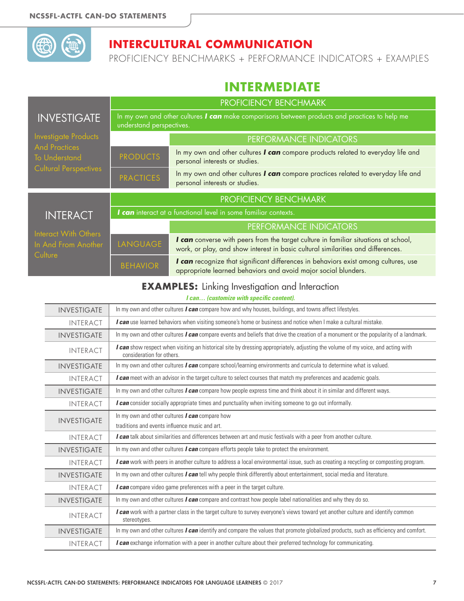

PROFICIENCY BENCHMARKS + PERFORMANCE INDICATORS + EXAMPLES

## **INTERMEDIATE**

|                                                        | PROFICIENCY BENCHMARK    |                                                                                                                                                                         |
|--------------------------------------------------------|--------------------------|-------------------------------------------------------------------------------------------------------------------------------------------------------------------------|
| <b>INVESTIGATE</b>                                     | understand perspectives. | In my own and other cultures I can make comparisons between products and practices to help me                                                                           |
| Investigate Products                                   |                          | PERFORMANCE INDICATORS                                                                                                                                                  |
| <b>And Practices</b><br><b>To Understand</b>           | <b>PRODUCTS</b>          | In my own and other cultures I can compare products related to everyday life and<br>personal interests or studies.                                                      |
| <b>Cultural Perspectives</b>                           | <b>PRACTICES</b>         | In my own and other cultures I can compare practices related to everyday life and<br>personal interests or studies.                                                     |
|                                                        |                          | PROFICIENCY BENCHMARK                                                                                                                                                   |
| <b>INTERACT</b>                                        |                          | I can interact at a functional level in some familiar contexts.                                                                                                         |
|                                                        |                          | PERFORMANCE INDICATORS                                                                                                                                                  |
| Interact With Others<br>In And From Another<br>Culture | LANGUAGE                 | I can converse with peers from the target culture in familiar situations at school,<br>work, or play, and show interest in basic cultural similarities and differences. |
|                                                        | <b>BEHAVIOR</b>          | I can recognize that significant differences in behaviors exist among cultures, use<br>appropriate learned behaviors and avoid major social blunders.                   |

#### **EXAMPLES:** Linking Investigation and Interaction

| <b>INVESTIGATE</b> | In my own and other cultures <i>I can</i> compare how and why houses, buildings, and towns affect lifestyles.                                                 |
|--------------------|---------------------------------------------------------------------------------------------------------------------------------------------------------------|
| <b>INTERACT</b>    | I can use learned behaviors when visiting someone's home or business and notice when I make a cultural mistake.                                               |
| <b>INVESTIGATE</b> | In my own and other cultures I can compare events and beliefs that drive the creation of a monument or the popularity of a landmark.                          |
| <b>INTERACT</b>    | I can show respect when visiting an historical site by dressing appropriately, adjusting the volume of my voice, and acting with<br>consideration for others. |
| <b>INVESTIGATE</b> | In my own and other cultures <i>I can</i> compare school/learning environments and curricula to determine what is valued.                                     |
| <b>INTERACT</b>    | I can meet with an advisor in the target culture to select courses that match my preferences and academic goals.                                              |
| <b>INVESTIGATE</b> | In my own and other cultures <i>I can</i> compare how people express time and think about it in similar and different ways.                                   |
| <b>INTERACT</b>    | I can consider socially appropriate times and punctuality when inviting someone to go out informally.                                                         |
| <b>INVESTIGATE</b> | In my own and other cultures <b>I can</b> compare how<br>traditions and events influence music and art.                                                       |
| <b>INTERACT</b>    | I can talk about similarities and differences between art and music festivals with a peer from another culture.                                               |
| <b>INVESTIGATE</b> | In my own and other cultures $I$ can compare efforts people take to protect the environment.                                                                  |
| <b>INTERACT</b>    | <b><i>I can</i></b> work with peers in another culture to address a local environmental issue, such as creating a recycling or composting program.            |
| <b>INVESTIGATE</b> | In my own and other cultures I can tell why people think differently about entertainment, social media and literature.                                        |
| <b>INTERACT</b>    | I can compare video game preferences with a peer in the target culture.                                                                                       |
| <b>INVESTIGATE</b> | In my own and other cultures I can compare and contrast how people label nationalities and why they do so.                                                    |
| <b>INTERACT</b>    | I can work with a partner class in the target culture to survey everyone's views toward yet another culture and identify common<br>stereotypes.               |
| <b>INVESTIGATE</b> | In my own and other cultures $l$ can identify and compare the values that promote globalized products, such as efficiency and comfort.                        |
| <b>INTERACT</b>    | I can exchange information with a peer in another culture about their preferred technology for communicating.                                                 |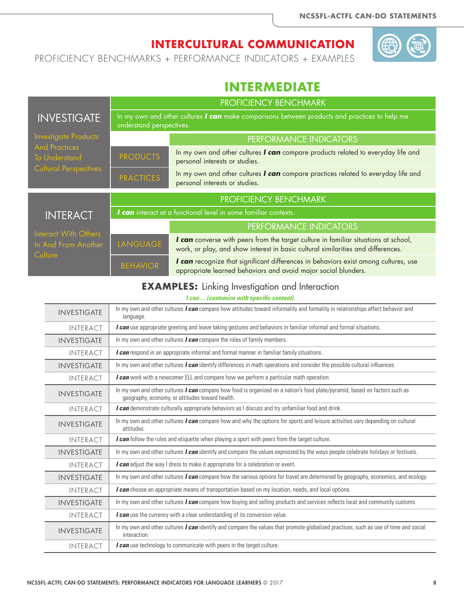PROFICIENCY BENCHMARKS + PERFORMANCE INDICATORS + EXAMPLES

### **INTERMEDIATE**

|                                              | PROFICIENCY BENCHMARK    |                                                                                                                                                                         |
|----------------------------------------------|--------------------------|-------------------------------------------------------------------------------------------------------------------------------------------------------------------------|
| <b>INVESTIGATE</b>                           | understand perspectives. | In my own and other cultures I can make comparisons between products and practices to help me                                                                           |
| <b>Investigate Products</b>                  |                          | PERFORMANCE INDICATORS                                                                                                                                                  |
| <b>And Practices</b><br><b>To Understand</b> | <b>PRODUCTS</b>          | In my own and other cultures I can compare products related to everyday life and<br>personal interests or studies.                                                      |
| <b>Cultural Perspectives</b>                 | <b>PRACTICES</b>         | In my own and other cultures I can compare practices related to everyday life and<br>personal interests or studies.                                                     |
|                                              |                          | PROFICIENCY BENCHMARK                                                                                                                                                   |
| <b>INTERACT</b>                              |                          | I can interact at a functional level in some familiar contexts.                                                                                                         |
| Interact With Others                         |                          | PERFORMANCE INDICATORS                                                                                                                                                  |
| In And From Another<br>Culture               | LANGUAGE                 | I can converse with peers from the target culture in familiar situations at school,<br>work, or play, and show interest in basic cultural similarities and differences. |
|                                              | <b>BEHAVIOR</b>          | I can recognize that significant differences in behaviors exist among cultures, use<br>appropriate learned behaviors and avoid major social blunders.                   |

#### **EXAMPLES:** Linking Investigation and Interaction

| <b>INVESTIGATE</b> | In my own and other cultures I can compare how attitudes toward informality and formality in relationships affect behavior and<br>language.                                    |
|--------------------|--------------------------------------------------------------------------------------------------------------------------------------------------------------------------------|
| <b>INTERACT</b>    | I can use appropriate greeting and leave taking gestures and behaviors in familiar informal and formal situations.                                                             |
| <b>INVESTIGATE</b> | In my own and other cultures <i>I can</i> compare the roles of family members.                                                                                                 |
| <b>INTERACT</b>    | <b>I can</b> respond in an appropriate informal and formal manner in familiar family situations.                                                                               |
| <b>INVESTIGATE</b> | In my own and other cultures <i>I can</i> identify differences in math operations and consider the possible cultural influences.                                               |
| <b>INTERACT</b>    | I can work with a newcomer ELL and compare how we perform a particular math operation.                                                                                         |
| <b>INVESTIGATE</b> | In my own and other cultures I can compare how food is organized on a nation's food plate/pyramid, based on factors such as<br>geography, economy, or attitudes toward health. |
| <b>INTERACT</b>    | I can demonstrate culturally appropriate behaviors as I discuss and try unfamiliar food and drink.                                                                             |
| <b>INVESTIGATE</b> | In my own and other cultures <i>I can</i> compare how and why the options for sports and leisure activities vary depending on cultural<br>attitudes.                           |
| <b>INTERACT</b>    | I can follow the rules and etiquette when playing a sport with peers from the target culture.                                                                                  |
| <b>INVESTIGATE</b> | In my own and other cultures <i>I can</i> identify and compare the values expressed by the ways people celebrate holidays or festivals.                                        |
| <b>INTERACT</b>    | I can adjust the way I dress to make it appropriate for a celebration or event.                                                                                                |
| <b>INVESTIGATE</b> | In my own and other cultures I can compare how the various options for travel are determined by geography, economics, and ecology.                                             |
| <b>INTERACT</b>    | I can choose an appropriate means of transportation based on my location, needs, and local options.                                                                            |
| <b>INVESTIGATE</b> | In my own and other cultures <i>I can</i> compare how buying and selling products and services reflects local and community customs.                                           |
| <b>INTERACT</b>    | I can use the currency with a clear understanding of its conversion value.                                                                                                     |
| <b>INVESTIGATE</b> | In my own and other cultures I can identify and compare the values that promote globalized practices, such as use of time and social<br>interaction.                           |
| <b>INTERACT</b>    | I can use technology to communicate with peers in the target culture.                                                                                                          |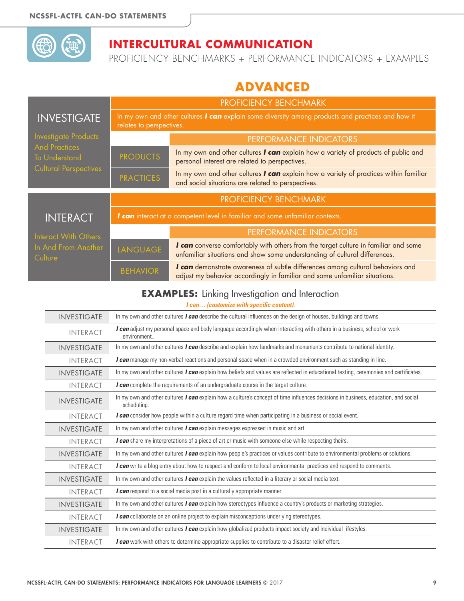

PROFICIENCY BENCHMARKS + PERFORMANCE INDICATORS + EXAMPLES

# **ADVANCED**

|                                              |                                                                               | <b>PROFICIENCY BENCHMARK</b>                                                                                                                                      |  |
|----------------------------------------------|-------------------------------------------------------------------------------|-------------------------------------------------------------------------------------------------------------------------------------------------------------------|--|
| <b>INVESTIGATE</b>                           | relates to perspectives.                                                      | In my own and other cultures I can explain some diversity among products and practices and how it                                                                 |  |
| <b>Investigate Products</b>                  |                                                                               | PERFORMANCE INDICATORS                                                                                                                                            |  |
| <b>And Practices</b><br><b>To Understand</b> | <b>PRODUCTS</b>                                                               | In my own and other cultures I can explain how a variety of products of public and<br>personal interest are related to perspectives.                              |  |
| <b>Cultural Perspectives</b>                 | <b>PRACTICES</b>                                                              | In my own and other cultures I can explain how a variety of practices within familiar<br>and social situations are related to perspectives.                       |  |
|                                              | PROFICIENCY BENCHMARK                                                         |                                                                                                                                                                   |  |
| <b>INTERACT</b>                              | I can interact at a competent level in familiar and some unfamiliar contexts. |                                                                                                                                                                   |  |
| Interact With Others                         |                                                                               | <b>PERFORMANCE INDICATORS</b>                                                                                                                                     |  |
| In And From Another<br>Culture               | LANGUAGE                                                                      | I can converse comfortably with others from the target culture in familiar and some<br>unfamiliar situations and show some understanding of cultural differences. |  |
|                                              | <b>BEHAVIOR</b>                                                               | I can demonstrate awareness of subtle differences among cultural behaviors and<br>adjust my behavior accordingly in familiar and some unfamiliar situations.      |  |

#### **EXAMPLES:** Linking Investigation and Interaction

| <b>INVESTIGATE</b> |                 | In my own and other cultures <i>I can</i> describe the cultural influences on the design of houses, buildings and towns.                          |
|--------------------|-----------------|---------------------------------------------------------------------------------------------------------------------------------------------------|
|                    | <b>INTERACT</b> | I can adjust my personal space and body language accordingly when interacting with others in a business, school or work<br>environment            |
| <b>INVESTIGATE</b> |                 | In my own and other cultures <i>I can</i> describe and explain how landmarks and monuments contribute to national identity.                       |
|                    | <b>INTERACT</b> | I can manage my non-verbal reactions and personal space when in a crowded environment such as standing in line.                                   |
| <b>INVESTIGATE</b> |                 | In my own and other cultures <i>I can</i> explain how beliefs and values are reflected in educational testing, ceremonies and certificates.       |
|                    | <b>INTERACT</b> | I can complete the requirements of an undergraduate course in the target culture.                                                                 |
| <b>INVESTIGATE</b> |                 | In my own and other cultures I can explain how a culture's concept of time influences decisions in business, education, and social<br>scheduling. |
|                    | <b>INTERACT</b> | I can consider how people within a culture regard time when participating in a business or social event.                                          |
| <b>INVESTIGATE</b> |                 | In my own and other cultures <i>I can</i> explain messages expressed in music and art.                                                            |
|                    | <b>INTERACT</b> | I can share my interpretations of a piece of art or music with someone else while respecting theirs.                                              |
| <b>INVESTIGATE</b> |                 | In my own and other cultures <i>I can</i> explain how people's practices or values contribute to environmental problems or solutions.             |
|                    | <b>INTERACT</b> | I can write a blog entry about how to respect and conform to local environmental practices and respond to comments.                               |
| <b>INVESTIGATE</b> |                 | In my own and other cultures <i>I can</i> explain the values reflected in a literary or social media text.                                        |
|                    | <b>INTERACT</b> | I can respond to a social media post in a culturally appropriate manner.                                                                          |
| <b>INVESTIGATE</b> |                 | In my own and other cultures <i>I can</i> explain how stereotypes influence a country's products or marketing strategies.                         |
|                    | <b>INTERACT</b> | I can collaborate on an online project to explain misconceptions underlying stereotypes.                                                          |
| <b>INVESTIGATE</b> |                 | In my own and other cultures <i>I can</i> explain how globalized products impact society and individual lifestyles.                               |
|                    | <b>INTERACT</b> | I can work with others to determine appropriate supplies to contribute to a disaster relief effort.                                               |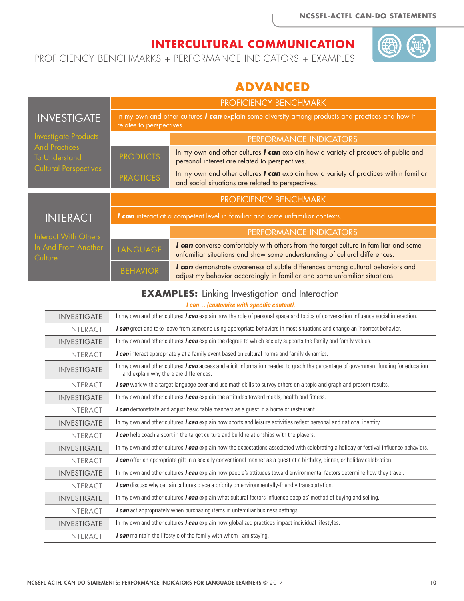PROFICIENCY BENCHMARKS + PERFORMANCE INDICATORS + EXAMPLES

# **ADVANCED**

|                                              | PROFICIENCY BENCHMARK                                                         |                                                                                                                                                                   |  |
|----------------------------------------------|-------------------------------------------------------------------------------|-------------------------------------------------------------------------------------------------------------------------------------------------------------------|--|
| <b>INVESTIGATE</b>                           | relates to perspectives.                                                      | In my own and other cultures I can explain some diversity among products and practices and how it                                                                 |  |
| Investigate Products                         |                                                                               | PERFORMANCE INDICATORS                                                                                                                                            |  |
| <b>And Practices</b><br><b>To Understand</b> | <b>PRODUCTS</b>                                                               | In my own and other cultures I can explain how a variety of products of public and<br>personal interest are related to perspectives.                              |  |
| <b>Cultural Perspectives</b>                 | <b>PRACTICES</b>                                                              | In my own and other cultures I can explain how a variety of practices within familiar<br>and social situations are related to perspectives.                       |  |
|                                              | PROFICIENCY BENCHMARK                                                         |                                                                                                                                                                   |  |
| <b>INTERACT</b>                              | I can interact at a competent level in familiar and some unfamiliar contexts. |                                                                                                                                                                   |  |
| Interact With Others                         |                                                                               | PERFORMANCE INDICATORS                                                                                                                                            |  |
| In And From Another<br>Culture               | LANGUAGE                                                                      | I can converse comfortably with others from the target culture in familiar and some<br>unfamiliar situations and show some understanding of cultural differences. |  |
|                                              | <b>BEHAVIOR</b>                                                               | I can demonstrate awareness of subtle differences among cultural behaviors and<br>adjust my behavior accordingly in familiar and some unfamiliar situations.      |  |

#### **EXAMPLES:** Linking Investigation and Interaction

| <b>INVESTIGATE</b> | In my own and other cultures <i>I can</i> explain how the role of personal space and topics of conversation influence social interaction.                                            |
|--------------------|--------------------------------------------------------------------------------------------------------------------------------------------------------------------------------------|
| <b>INTERACT</b>    | I can greet and take leave from someone using appropriate behaviors in most situations and change an incorrect behavior.                                                             |
| <b>INVESTIGATE</b> | In my own and other cultures <i>I can</i> explain the degree to which society supports the family and family values.                                                                 |
| <b>INTERACT</b>    | I can interact appropriately at a family event based on cultural norms and family dynamics.                                                                                          |
| <b>INVESTIGATE</b> | In my own and other cultures <i>I can</i> access and elicit information needed to graph the percentage of government funding for education<br>and explain why there are differences. |
| <b>INTERACT</b>    | I can work with a target language peer and use math skills to survey others on a topic and graph and present results.                                                                |
| <b>INVESTIGATE</b> | In my own and other cultures <i>I can</i> explain the attitudes toward meals, health and fitness.                                                                                    |
| <b>INTERACT</b>    | I can demonstrate and adjust basic table manners as a guest in a home or restaurant.                                                                                                 |
| <b>INVESTIGATE</b> | In my own and other cultures <i>I can</i> explain how sports and leisure activities reflect personal and national identity.                                                          |
| <b>INTERACT</b>    | I can help coach a sport in the target culture and build relationships with the players.                                                                                             |
| <b>INVESTIGATE</b> | In my own and other cultures <i>I can</i> explain how the expectations associated with celebrating a holiday or festival influence behaviors.                                        |
| <b>INTERACT</b>    | I can offer an appropriate gift in a socially conventional manner as a guest at a birthday, dinner, or holiday celebration.                                                          |
| <b>INVESTIGATE</b> | In my own and other cultures <i>I can</i> explain how people's attitudes toward environmental factors determine how they travel.                                                     |
| <b>INTERACT</b>    | I can discuss why certain cultures place a priority on environmentally-friendly transportation.                                                                                      |
| <b>INVESTIGATE</b> | In my own and other cultures I can explain what cultural factors influence peoples' method of buying and selling.                                                                    |
| <b>INTERACT</b>    | I can act appropriately when purchasing items in unfamiliar business settings.                                                                                                       |
| <b>INVESTIGATE</b> | In my own and other cultures <i>I can</i> explain how globalized practices impact individual lifestyles.                                                                             |
| <b>INTERACT</b>    | <b>I can</b> maintain the lifestyle of the family with whom I am staying.                                                                                                            |
|                    |                                                                                                                                                                                      |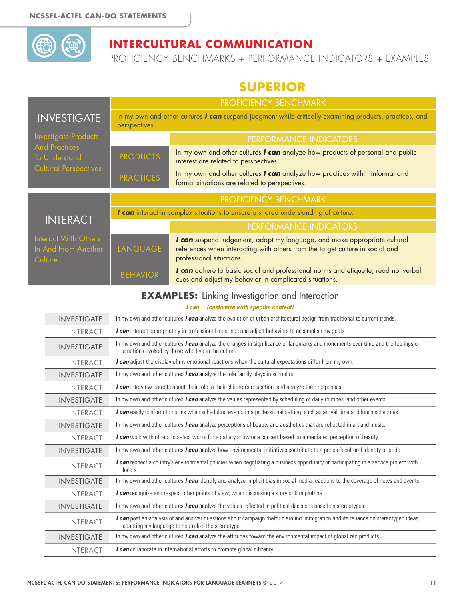

PROFICIENCY BENCHMARKS + PERFORMANCE INDICATORS + EXAMPLES

# **SUPERIOR**

|                                                        | PROFICIENCY BENCHMARK |                                                                                                                                                                                        |  |
|--------------------------------------------------------|-----------------------|----------------------------------------------------------------------------------------------------------------------------------------------------------------------------------------|--|
| <b>INVESTIGATE</b>                                     | perspectives.         | In my own and other cultures I can suspend judgment while critically examining products, practices, and                                                                                |  |
| Investigate Products                                   |                       | PERFORMANCE INDICATORS                                                                                                                                                                 |  |
| <b>And Practices</b><br><b>To Understand</b>           | <b>PRODUCTS</b>       | In my own and other cultures I can analyze how products of personal and public<br>interest are related to perspectives.                                                                |  |
| <b>Cultural Perspectives</b>                           | <b>PRACTICES</b>      | In my own and other cultures I can analyze how practices within informal and<br>formal situations are related to perspectives.                                                         |  |
|                                                        | PROFICIENCY BENCHMARK |                                                                                                                                                                                        |  |
| <b>INTERACT</b>                                        |                       | I can interact in complex situations to ensure a shared understanding of culture.                                                                                                      |  |
|                                                        |                       | PERFORMANCE INDICATORS                                                                                                                                                                 |  |
| Interact With Others<br>In And From Another<br>Culture | LANGUAGE              | I can suspend judgement, adapt my language, and make appropriate cultural<br>references when interacting with others from the target culture in social and<br>professional situations. |  |
|                                                        | <b>BEHAVIOR</b>       | I can adhere to basic social and professional norms and etiquette, read nonverbal<br>cues and adjust my behavior in complicated situations.                                            |  |

#### **EXAMPLES:** Linking Investigation and Interaction

| <b>INVESTIGATE</b> | In my own and other cultures <b><i>I can</i></b> analyze the evolution of urban architectural design from traditional to current trends.                                                    |
|--------------------|---------------------------------------------------------------------------------------------------------------------------------------------------------------------------------------------|
| <b>INTERACT</b>    | I can interact appropriately in professional meetings and adjust behaviors to accomplish my goals.                                                                                          |
| <b>INVESTIGATE</b> | In my own and other cultures <i>I can</i> analyze the changes in significance of landmarks and monuments over time and the feelings or<br>emotions evoked by those who live in the culture. |
| <b>INTERACT</b>    | I can adjust the display of my emotional reactions when the cultural expectations differ from my own.                                                                                       |
| <b>INVESTIGATE</b> | In my own and other cultures I can analyze the role family plays in schooling                                                                                                               |
| <b>INTERACT</b>    | I can interview parents about their role in their children's education. and analyze their responses.                                                                                        |
| <b>INVESTIGATE</b> | In my own and other cultures I can analyze the values represented by scheduling of daily routines, and other events.                                                                        |
| <b>INTERACT</b>    | I can easily conform to norms when scheduling events in a professional setting, such as arrival time and lunch schedules.                                                                   |
| <b>INVESTIGATE</b> | In my own and other cultures <i>I can</i> analyze perceptions of beauty and aesthetics that are reflected in art and music.                                                                 |
| <b>INTERACT</b>    | I can work with others to select works for a gallery show or a concert based on a mediated perception of beauty.                                                                            |
| <b>INVESTIGATE</b> | In my own and other cultures <b>I can</b> analyze how environmental initiatives contribute to a people's cultural identify or pride.                                                        |
| <b>INTERACT</b>    | I can respect a country's environmental policies when negotiating a business opportunity or participating in a service project with<br>locals.                                              |
| <b>INVESTIGATE</b> | In my own and other cultures <i>I can</i> identify and analyze implicit bias in social media reactions to the coverage of news and events.                                                  |
| <b>INTERACT</b>    | I can recognize and respect other points of view, when discussing a story or film plotline.                                                                                                 |
| <b>INVESTIGATE</b> | In my own and other cultures <i>I can</i> analyze the values reflected in political decisions based on stereotypes.                                                                         |
| <b>INTERACT</b>    | I can post an analysis of and answer questions about campaign rhetoric around immigration and its reliance on stereotyped ideas,<br>adapting my language to neutralize the stereotype.      |
| <b>INVESTIGATE</b> | In my own and other cultures <i>I can</i> analyze the attitudes toward the environmental impact of globalized products.                                                                     |
| <b>INTERACT</b>    | I can collaborate in international efforts to promote global citizenry.                                                                                                                     |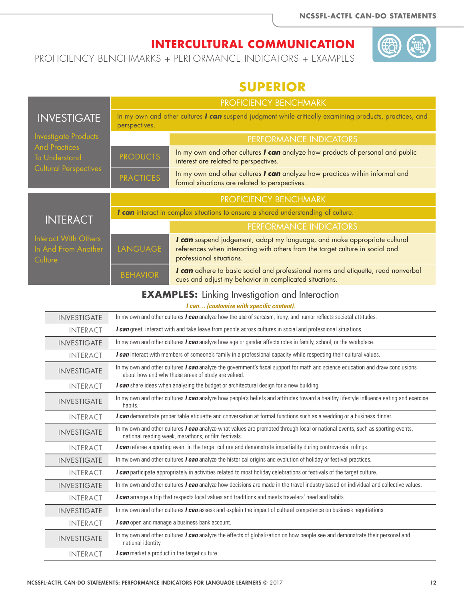PROFICIENCY BENCHMARKS + PERFORMANCE INDICATORS + EXAMPLES

# **SUPERIOR**

|                                                                                                             | <b>PROFICIENCY BENCHMARK</b>                                                                                             |                                                                                                                                                                                        |  |
|-------------------------------------------------------------------------------------------------------------|--------------------------------------------------------------------------------------------------------------------------|----------------------------------------------------------------------------------------------------------------------------------------------------------------------------------------|--|
| <b>INVESTIGATE</b>                                                                                          | In my own and other cultures I can suspend judgment while critically examining products, practices, and<br>perspectives. |                                                                                                                                                                                        |  |
| <b>Investigate Products</b><br><b>And Practices</b><br><b>To Understand</b><br><b>Cultural Perspectives</b> |                                                                                                                          | PERFORMANCE INDICATORS                                                                                                                                                                 |  |
|                                                                                                             | <b>PRODUCTS</b>                                                                                                          | In my own and other cultures I can analyze how products of personal and public<br>interest are related to perspectives.                                                                |  |
|                                                                                                             | <b>PRACTICES</b>                                                                                                         | In my own and other cultures I can analyze how practices within informal and<br>formal situations are related to perspectives.                                                         |  |
|                                                                                                             | PROFICIENCY BENCHMARK                                                                                                    |                                                                                                                                                                                        |  |
| <b>INTERACT</b>                                                                                             |                                                                                                                          | I can interact in complex situations to ensure a shared understanding of culture.                                                                                                      |  |
|                                                                                                             |                                                                                                                          | <b>PERFORMANCE INDICATORS</b>                                                                                                                                                          |  |
| Interact With Others<br>In And From Another<br>Culture                                                      | LANGUAGE                                                                                                                 | I can suspend judgement, adapt my language, and make appropriate cultural<br>references when interacting with others from the target culture in social and<br>professional situations. |  |
|                                                                                                             | <b>BEHAVIOR</b>                                                                                                          | I can adhere to basic social and professional norms and etiquette, read nonverbal<br>cues and adjust my behavior in complicated situations.                                            |  |

#### **EXAMPLES:** Linking Investigation and Interaction

| <b>INVESTIGATE</b> | In my own and other cultures <i>I can</i> analyze how the use of sarcasm, irony, and humor reflects societal attitudes.                                                                     |
|--------------------|---------------------------------------------------------------------------------------------------------------------------------------------------------------------------------------------|
| <b>INTERACT</b>    | I can greet, interact with and take leave from people across cultures in social and professional situations.                                                                                |
| <b>INVESTIGATE</b> | In my own and other cultures <i>I can</i> analyze how age or gender affects roles in family, school, or the workplace.                                                                      |
| <b>INTERACT</b>    | I can interact with members of someone's family in a professional capacity while respecting their cultural values.                                                                          |
| <b>INVESTIGATE</b> | In my own and other cultures <i>I can</i> analyze the government's fiscal support for math and science education and draw conclusions<br>about how and why these areas of study are valued. |
| <b>INTERACT</b>    | I can share ideas when analyzing the budget or architectural design for a new building.                                                                                                     |
| <b>INVESTIGATE</b> | In my own and other cultures <i>I can</i> analyze how people's beliefs and attitudes toward a healthy lifestyle influence eating and exercise<br>habits.                                    |
| <b>INTERACT</b>    | <b>l can</b> demonstrate proper table etiquette and conversation at formal functions such as a wedding or a business dinner.                                                                |
| <b>INVESTIGATE</b> | In my own and other cultures I can analyze what values are promoted through local or national events, such as sporting events,<br>national reading week, marathons, or film festivals.      |
| <b>INTERACT</b>    | I can referee a sporting event in the target culture and demonstrate impartiality during controversial rulings.                                                                             |
| <b>INVESTIGATE</b> | In my own and other cultures $l$ can analyze the historical origins and evolution of holiday or festival practices.                                                                         |
| <b>INTERACT</b>    | I can participate appropriately in activities related to most holiday celebrations or festivals of the target culture.                                                                      |
| <b>INVESTIGATE</b> | In my own and other cultures <i>I can</i> analyze how decisions are made in the travel industry based on individual and collective values.                                                  |
| <b>INTERACT</b>    | I can arrange a trip that respects local values and traditions and meets travelers' need and habits.                                                                                        |
| <b>INVESTIGATE</b> | In my own and other cultures <i>I can</i> assess and explain the impact of cultural competence on business negotiations.                                                                    |
| <b>INTERACT</b>    | I can open and manage a business bank account.                                                                                                                                              |
| <b>INVESTIGATE</b> | In my own and other cultures I can analyze the effects of globalization on how people see and demonstrate their personal and<br>national identity.                                          |
| <b>INTERACT</b>    | <i>I can</i> market a product in the target culture.                                                                                                                                        |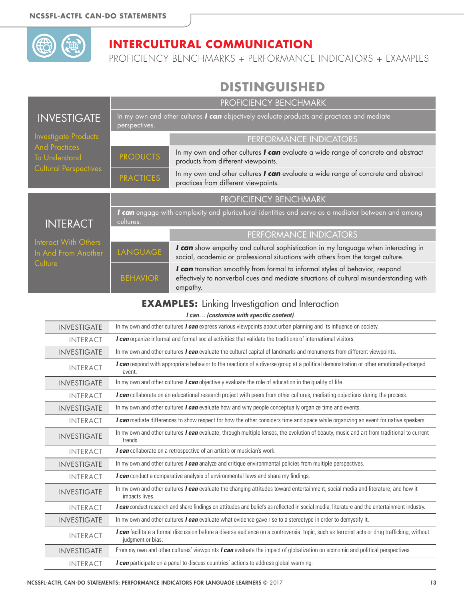

PROFICIENCY BENCHMARKS + PERFORMANCE INDICATORS + EXAMPLES

# **DISTINGUISHED**

|                                                                                                             | PROFICIENCY BENCHMARK |                                                                                                                                                                                     |
|-------------------------------------------------------------------------------------------------------------|-----------------------|-------------------------------------------------------------------------------------------------------------------------------------------------------------------------------------|
| <b>INVESTIGATE</b>                                                                                          | perspectives.         | In my own and other cultures I can objectively evaluate products and practices and mediate                                                                                          |
| <b>Investigate Products</b><br><b>And Practices</b><br><b>To Understand</b><br><b>Cultural Perspectives</b> |                       | PERFORMANCE INDICATORS                                                                                                                                                              |
|                                                                                                             | <b>PRODUCTS</b>       | In my own and other cultures I can evaluate a wide range of concrete and abstract<br>products from different viewpoints.                                                            |
|                                                                                                             | <b>PRACTICES</b>      | In my own and other cultures I can evaluate a wide range of concrete and abstract<br>practices from different viewpoints.                                                           |
|                                                                                                             |                       | PROFICIENCY BENCHMARK                                                                                                                                                               |
| <b>INTERACT</b><br>Interact With Others<br>In And From Another<br>Culture                                   | cultures.             | I can engage with complexity and pluricultural identities and serve as a mediator between and among                                                                                 |
|                                                                                                             |                       | PERFORMANCE INDICATORS                                                                                                                                                              |
|                                                                                                             | LANGUAGE              | I can show empathy and cultural sophistication in my language when interacting in<br>social, academic or professional situations with others from the target culture.               |
|                                                                                                             | <b>BEHAVIOR</b>       | I can transition smoothly from formal to informal styles of behavior, respond<br>effectively to nonverbal cues and mediate situations of cultural misunderstanding with<br>empathy. |

#### **EXAMPLES:** Linking Investigation and Interaction

| <b>INVESTIGATE</b> | In my own and other cultures I can express various viewpoints about urban planning and its influence on society.                                                  |
|--------------------|-------------------------------------------------------------------------------------------------------------------------------------------------------------------|
| <b>INTERACT</b>    | I can organize informal and formal social activities that validate the traditions of international visitors.                                                      |
| <b>INVESTIGATE</b> | In my own and other cultures I can evaluate the cultural capital of landmarks and monuments from different viewpoints.                                            |
| <b>INTERACT</b>    | I can respond with appropriate behavior to the reactions of a diverse group at a political demonstration or other emotionally-charged<br>event.                   |
| <b>INVESTIGATE</b> | In my own and other cultures <i>I can</i> objectively evaluate the role of education in the quality of life.                                                      |
| <b>INTERACT</b>    | I can collaborate on an educational research project with peers from other cultures, mediating objections during the process.                                     |
| <b>INVESTIGATE</b> | In my own and other cultures <i>I can</i> evaluate how and why people conceptually organize time and events.                                                      |
| <b>INTERACT</b>    | I can mediate differences to show respect for how the other considers time and space while organizing an event for native speakers.                               |
| <b>INVESTIGATE</b> | In my own and other cultures I can evaluate, through multiple lenses, the evolution of beauty, music and art from traditional to current<br>trends.               |
| <b>INTERACT</b>    | I can collaborate on a retrospective of an artist's or musician's work.                                                                                           |
| <b>INVESTIGATE</b> | In my own and other cultures <i>I can</i> analyze and critique environmental policies from multiple perspectives.                                                 |
| <b>INTERACT</b>    | I can conduct a comparative analysis of environmental laws and share my findings.                                                                                 |
| <b>INVESTIGATE</b> | In my own and other cultures <i>I can</i> evaluate the changing attitudes toward entertainment, social media and literature, and how it<br>impacts lives.         |
| <b>INTERACT</b>    | I can conduct research and share findings on attitudes and beliefs as reflected in social media, literature and the entertainment industry.                       |
| <b>INVESTIGATE</b> | In my own and other cultures <i>I can</i> evaluate what evidence gave rise to a stereotype in order to demystify it.                                              |
| <b>INTERACT</b>    | I can facilitate a formal discussion before a diverse audience on a controversial topic, such as terrorist acts or drug trafficking, without<br>judgment or bias. |
| <b>INVESTIGATE</b> | From my own and other cultures' viewpoints I can evaluate the impact of globalization on economic and political perspectives.                                     |
| <b>INTERACT</b>    | I can participate on a panel to discuss countries' actions to address global warming.                                                                             |